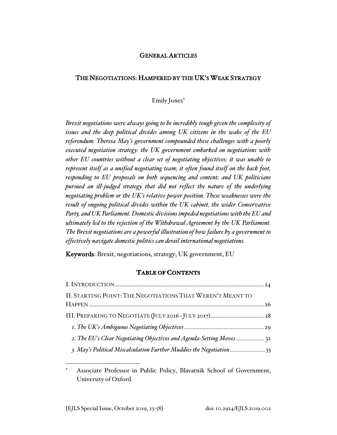### GENERAL ARTICLES

### THE NEGOTIATIONS: HAMPERED BY THE UK'S WEAK STRATEGY

### Emily Jones

*Brexit negotiations were always going to be incredibly tough given the complexity of issues and the deep political divides among UK citizens in the wake of the EU referendum. Theresa May's government compounded these challenges with a poorly executed negotiation strategy: the UK government embarked on negotiations with other EU countries without a clear set of negotiating objectives; it was unable to represent itself as a unified negotiating team; it often found itself on the back foot, responding to EU proposals on both sequencing and content; and UK politicians pursued an ill-judged strategy that did not reflect the nature of the underlying negotiating problem or the UK's relative power position. These weaknesses were the result of ongoing political divides within the UK cabinet, the wider Conservative Party, and UK Parliament. Domestic divisions impeded negotiations with the EU and ultimately led to the rejection of the Withdrawal Agreement by the UK Parliament. The Brexit negotiations are a powerful illustration of how failure by a government to effectively navigate domestic politics can derail international negotiations.* 

Keywords: Brexit, negotiations, strategy, UK government, EU

## **TABLE OF CONTENTS**

| II. STARTING POINT: THE NEGOTIATIONS THAT WEREN'T MEANT TO           |  |
|----------------------------------------------------------------------|--|
|                                                                      |  |
|                                                                      |  |
|                                                                      |  |
| 2. The EU's Clear Negotiating Objectives and Agenda-Setting Moves 32 |  |
| 3. May's Political Miscalculation Further Muddies the Negotiation33  |  |

Associate Professor in Public Policy, Blavatnik School of Government, University of Oxford.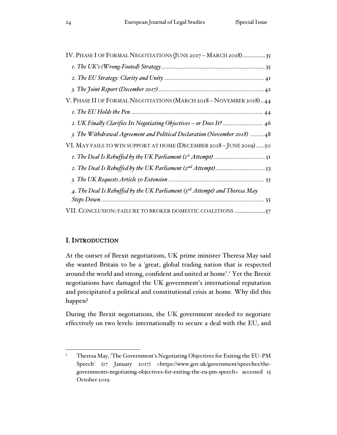| IV. PHASE I OF FORMAL NEGOTIATIONS (JUNE 2017 - MARCH 2018)35              |
|----------------------------------------------------------------------------|
|                                                                            |
|                                                                            |
|                                                                            |
| V. PHASE II OF FORMAL NEGOTIATIONS (MARCH 2018 - NOVEMBER 2018)44          |
|                                                                            |
| 2. UK Finally Clarifies Its Negotiating Objectives - or Does It?  46       |
| 3. The Withdrawal Agreement and Political Declaration (November 2018)  48  |
| VI. MAY FAILS TO WIN SUPPORT AT HOME (DECEMBER 2018 - JUNE 2019)  50       |
|                                                                            |
|                                                                            |
|                                                                            |
| 4. The Deal Is Rebuffed by the UK Parliament (3rd Attempt) and Theresa May |
|                                                                            |
| VII. CONCLUSION: FAILURE TO BROKER DOMESTIC COALITIONS 57                  |

# I. INTRODUCTION

At the outset of Brexit negotiations, UK prime minister Theresa May said she wanted Britain to be a 'great, global trading nation that is respected around the world and strong, confident and united at home'.<sup>1</sup> Yet the Brexit negotiations have damaged the UK government's international reputation and precipitated a political and constitutional crisis at home. Why did this happen?

During the Brexit negotiations, the UK government needed to negotiate effectively on two levels: internationally to secure a deal with the EU, and

<sup>&</sup>lt;sup>1</sup> Theresa May, 'The Government's Negotiating Objectives for Exiting the EU: PM Speech' (17 January 2017) <https://www.gov.uk/government/speeches/thegovernments-negotiating-objectives-for-exiting-the-eu-pm-speech> accessed 15 October 2019.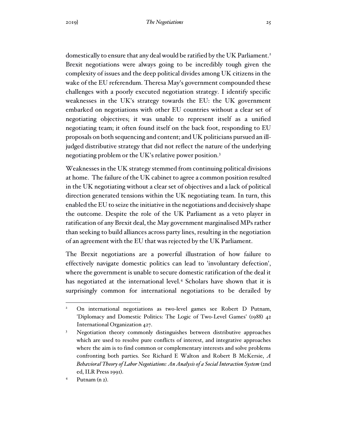domestically to ensure that any deal would be ratified by the UK Parliament.<sup>2</sup> Brexit negotiations were always going to be incredibly tough given the complexity of issues and the deep political divides among UK citizens in the wake of the EU referendum. Theresa May's government compounded these challenges with a poorly executed negotiation strategy. I identify specific weaknesses in the UK's strategy towards the EU: the UK government embarked on negotiations with other EU countries without a clear set of negotiating objectives; it was unable to represent itself as a unified negotiating team; it often found itself on the back foot, responding to EU proposals on both sequencing and content; and UK politicians pursued an illjudged distributive strategy that did not reflect the nature of the underlying negotiating problem or the UK's relative power position.<sup>3</sup>

Weaknesses in the UK strategy stemmed from continuing political divisions at home. The failure of the UK cabinet to agree a common position resulted in the UK negotiating without a clear set of objectives and a lack of political direction generated tensions within the UK negotiating team. In turn, this enabled the EU to seize the initiative in the negotiations and decisively shape the outcome. Despite the role of the UK Parliament as a veto player in ratification of any Brexit deal, the May government marginalised MPs rather than seeking to build alliances across party lines, resulting in the negotiation of an agreement with the EU that was rejected by the UK Parliament.

The Brexit negotiations are a powerful illustration of how failure to effectively navigate domestic politics can lead to 'involuntary defection', where the government is unable to secure domestic ratification of the deal it has negotiated at the international level.<sup>4</sup> Scholars have shown that it is surprisingly common for international negotiations to be derailed by

<sup>2</sup> On international negotiations as two-level games see Robert D Putnam, 'Diplomacy and Domestic Politics: The Logic of Two-Level Games' (1988) 42 International Organization 427.

<sup>&</sup>lt;sup>3</sup> Negotiation theory commonly distinguishes between distributive approaches which are used to resolve pure conflicts of interest, and integrative approaches where the aim is to find common or complementary interests and solve problems confronting both parties. See Richard E Walton and Robert B McKersie, *A Behavioral Theory of Labor Negotiations: An Analysis of a Social Interaction System* (2nd ed, ILR Press 1991).

 $4$  Putnam (n 2).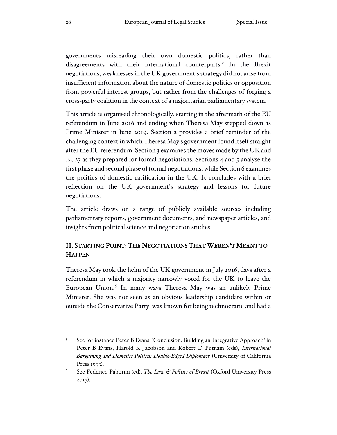governments misreading their own domestic politics, rather than disagreements with their international counterparts.<sup>5</sup> In the Brexit negotiations, weaknesses in the UK government's strategy did not arise from insufficient information about the nature of domestic politics or opposition from powerful interest groups, but rather from the challenges of forging a cross-party coalition in the context of a majoritarian parliamentary system.

This article is organised chronologically, starting in the aftermath of the EU referendum in June 2016 and ending when Theresa May stepped down as Prime Minister in June 2019. Section 2 provides a brief reminder of the challenging context in which Theresa May's government found itself straight after the EU referendum. Section 3 examines the moves made by the UK and EU27 as they prepared for formal negotiations. Sections 4 and 5 analyse the first phase and second phase of formal negotiations, while Section 6 examines the politics of domestic ratification in the UK. It concludes with a brief reflection on the UK government's strategy and lessons for future negotiations.

The article draws on a range of publicly available sources including parliamentary reports, government documents, and newspaper articles, and insights from political science and negotiation studies.

# II. STARTING POINT: THE NEGOTIATIONS THAT WEREN'T MEANT TO **HAPPEN**

Theresa May took the helm of the UK government in July 2016, days after a referendum in which a majority narrowly voted for the UK to leave the European Union.<sup>6</sup> In many ways Theresa May was an unlikely Prime Minister. She was not seen as an obvious leadership candidate within or outside the Conservative Party, was known for being technocratic and had a

<sup>&</sup>lt;sup>5</sup> See for instance Peter B Evans, 'Conclusion: Building an Integrative Approach' in Peter B Evans, Harold K Jacobson and Robert D Putnam (eds), *International Bargaining and Domestic Politics: Double-Edged Diplomacy* (University of California Press 1993).

<sup>6</sup> See Federico Fabbrini (ed), *The Law & Politics of Brexit* (Oxford University Press 2017).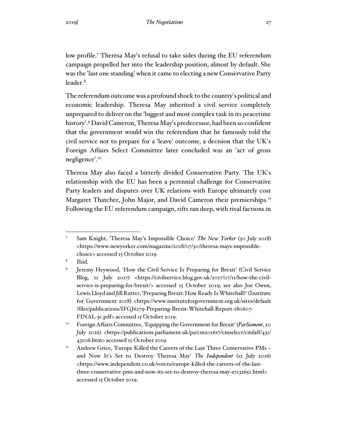low profile.<sup>7</sup> Theresa May's refusal to take sides during the EU referendum campaign propelled her into the leadership position, almost by default. She was the 'last one standing' when it came to electing a new Conservative Party leader.<sup>8</sup>

The referendum outcome was a profound shock to the country's political and economic leadership. Theresa May inherited a civil service completely unprepared to deliver on the 'biggest and most complex task in its peacetime history'.<sup>9</sup> David Cameron, Theresa May's predecessor, had been so confident that the government would win the referendum that he famously told the civil service not to prepare for a 'leave' outcome, a decision that the UK's Foreign Affairs Select Committee later concluded was an 'act of gross negligence'.<sup>10</sup>

Theresa May also faced a bitterly divided Conservative Party. The UK's relationship with the EU has been a perennial challenge for Conservative Party leaders and disputes over UK relations with Europe ultimately cost Margaret Thatcher, John Major, and David Cameron their premierships.<sup>11</sup> Following the EU referendum campaign, rifts ran deep, with rival factions in

<sup>7</sup> Sam Knight, 'Theresa May's Impossible Choice' *The New Yorker* (30 July 2018) <https://www.newyorker.com/magazine/2018/07/30/theresa-mays-impossiblechoice> accessed 15 October 2019

<sup>8</sup> Ibid.

<sup>9</sup> Jeremy Heywood, 'How the Civil Service Is Preparing for Brexit' (Civil Service Blog, 11 July 2017) <https://civilservice.blog.gov.uk/2017/07/11/how-the-civilservice-is-preparing-for-brexit/> accessed 15 October 2019; see also Joe Owen, Lewis Lloyd and Jill Rutter, 'Preparing Brexit: How Ready Is Whitehall?' (Institute for Government 2018) <https://www.instituteforgovernment.org.uk/sites/default /files/publications/IFGJ6279-Preparing-Brexit-Whitehall-Report-180607- FINAL-3c.pdf> accessed 15 October 2019.

<sup>&</sup>lt;sup>10</sup> Foreign Affairs Committee, 'Equipping the Government for Brexit' (*Parliament*, 20 July 2016) <https://publications.parliament.uk/pa/cm201617/cmselect/cmfaff/431/ 43106.htm> accessed 15 October 2019.

<sup>&</sup>lt;sup>11</sup> Andrew Grice, 'Europe Killed the Careers of the Last Three Conservative PMs – and Now It's Set to Destroy Theresa May' *The Independent* (12 July 2016) <https://www.independent.co.uk/voices/europe-killed-the-careers-of-the-lastthree-conservative-pms-and-now-its-set-to-destroy-theresa-may-a7132651.html> accessed 15 October 2019.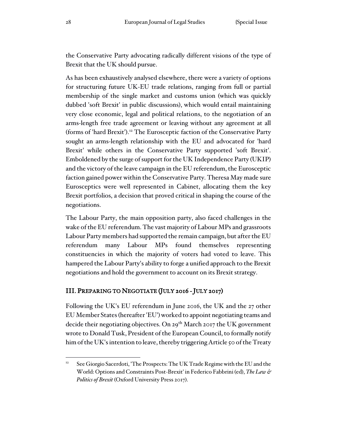the Conservative Party advocating radically different visions of the type of Brexit that the UK should pursue.

As has been exhaustively analysed elsewhere, there were a variety of options for structuring future UK-EU trade relations, ranging from full or partial membership of the single market and customs union (which was quickly dubbed 'soft Brexit' in public discussions), which would entail maintaining very close economic, legal and political relations, to the negotiation of an arms-length free trade agreement or leaving without any agreement at all (forms of 'hard Brexit').<sup>12</sup> The Eurosceptic faction of the Conservative Party sought an arms-length relationship with the EU and advocated for 'hard Brexit' while others in the Conservative Party supported 'soft Brexit'. Emboldened by the surge of support for the UK Independence Party (UKIP) and the victory of the leave campaign in the EU referendum, the Eurosceptic faction gained power within the Conservative Party. Theresa May made sure Eurosceptics were well represented in Cabinet, allocating them the key Brexit portfolios, a decision that proved critical in shaping the course of the negotiations.

The Labour Party, the main opposition party, also faced challenges in the wake of the EU referendum. The vast majority of Labour MPs and grassroots Labour Party members had supported the remain campaign, but after the EU referendum many Labour MPs found themselves representing constituencies in which the majority of voters had voted to leave. This hampered the Labour Party's ability to forge a unified approach to the Brexit negotiations and hold the government to account on its Brexit strategy.

# III. PREPARING TO NEGOTIATE (JULY 2016 - JULY 2017)

Following the UK's EU referendum in June 2016, the UK and the 27 other EU Member States (hereafter 'EU') worked to appoint negotiating teams and decide their negotiating objectives. On 29<sup>th</sup> March 2017 the UK government wrote to Donald Tusk, President of the European Council, to formally notify him of the UK's intention to leave, thereby triggering Article 50 of the Treaty

<sup>&</sup>lt;sup>12</sup> See Giorgio Sacerdoti, 'The Prospects: The UK Trade Regime with the EU and the World: Options and Constraints Post-Brexit' in Federico Fabbrini (ed), *The Law & Politics of Brexit* (Oxford University Press 2017).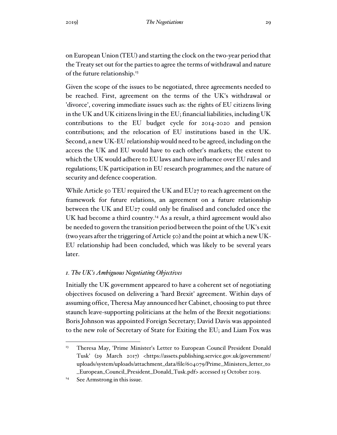on European Union (TEU) and starting the clock on the two-year period that the Treaty set out for the parties to agree the terms of withdrawal and nature of the future relationship.<sup>13</sup>

Given the scope of the issues to be negotiated, three agreements needed to be reached. First, agreement on the terms of the UK's withdrawal or 'divorce', covering immediate issues such as: the rights of EU citizens living in the UK and UK citizens living in the EU; financial liabilities, including UK contributions to the EU budget cycle for 2014-2020 and pension contributions; and the relocation of EU institutions based in the UK. Second, a new UK-EU relationship would need to be agreed, including on the access the UK and EU would have to each other's markets; the extent to which the UK would adhere to EU laws and have influence over EU rules and regulations; UK participation in EU research programmes; and the nature of security and defence cooperation.

While Article 50 TEU required the UK and EU<sub>27</sub> to reach agreement on the framework for future relations, an agreement on a future relationship between the UK and EU27 could only be finalised and concluded once the UK had become a third country.<sup>14</sup> As a result, a third agreement would also be needed to govern the transition period between the point of the UK's exit (two years after the triggering of Article 50) and the point at which a new UK-EU relationship had been concluded, which was likely to be several years later.

# *1. The UK's Ambiguous Negotiating Objectives*

Initially the UK government appeared to have a coherent set of negotiating objectives focused on delivering a 'hard Brexit' agreement. Within days of assuming office, Theresa May announced her Cabinet, choosing to put three staunch leave-supporting politicians at the helm of the Brexit negotiations: Boris Johnson was appointed Foreign Secretary; David Davis was appointed to the new role of Secretary of State for Exiting the EU; and Liam Fox was

<sup>&</sup>lt;sup>13</sup> Theresa May, 'Prime Minister's Letter to European Council President Donald Tusk' (29 March 2017) <https://assets.publishing.service.gov.uk/government/ uploads/system/uploads/attachment\_data/file/604079/Prime\_Ministers\_letter\_to \_European\_Council\_President\_Donald\_Tusk.pdf> accessed 15 October 2019.

<sup>&</sup>lt;sup>14</sup> See Armstrong in this issue.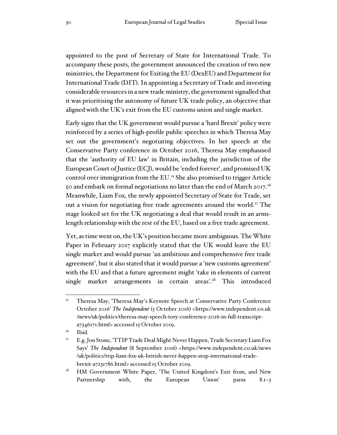appointed to the post of Secretary of State for International Trade. To accompany these posts, the government announced the creation of two new ministries, the Department for Exiting the EU (DexEU) and Department for International Trade (DIT). In appointing a Secretary of Trade and investing considerable resources in a new trade ministry, the government signalled that it was prioritising the autonomy of future UK trade policy, an objective that aligned with the UK's exit from the EU customs union and single market.

Early signs that the UK government would pursue a 'hard Brexit' policy were reinforced by a series of high-profile public speeches in which Theresa May set out the government's negotiating objectives. In her speech at the Conservative Party conference in October 2016, Theresa May emphasised that the 'authority of EU law' in Britain, including the jurisdiction of the European Court of Justice (ECJ), would be 'ended forever', and promised UK control over immigration from the EU.<sup>15</sup> She also promised to trigger Article 50 and embark on formal negotiations no later than the end of March 2017.<sup>16</sup> Meanwhile, Liam Fox, the newly appointed Secretary of State for Trade, set out a vision for negotiating free trade agreements around the world.<sup>17</sup> The stage looked set for the UK negotiating a deal that would result in an armslength relationship with the rest of the EU, based on a free trade agreement.

Yet, as time went on, the UK's position became more ambiguous. The White Paper in February 2017 explicitly stated that the UK would leave the EU single market and would pursue 'an ambitious and comprehensive free trade agreement', but it also stated that it would pursue a 'new customs agreement' with the EU and that a future agreement might 'take in elements of current single market arrangements in certain areas'.<sup>18</sup> This introduced

<sup>&</sup>lt;sup>15</sup> Theresa May, 'Theresa May's Keynote Speech at Conservative Party Conference October 2016' *The Independent* (5 October 2016) <https://www.independent.co.uk /news/uk/politics/theresa-may-speech-tory-conference-2016-in-full-transcripta7346171.html> accessed 15 October 2019.

<sup>&</sup>lt;sup>16</sup> Ibid.

<sup>&</sup>lt;sup>17</sup> E.g. Jon Stone, 'TTIP Trade Deal Might Never Happen, Trade Secretary Liam Fox Says' *The Independent* (8 September 2016) <https://www.independent.co.uk/news /uk/politics/ttip-liam-fox-uk-british-never-happen-stop-international-tradebrexit-a7231786.html> accessed 15 October 2019.

<sup>&</sup>lt;sup>18</sup> HM Government White Paper, 'The United Kingdom's Exit from, and New Partnership with, the European Union' paras 8.1–3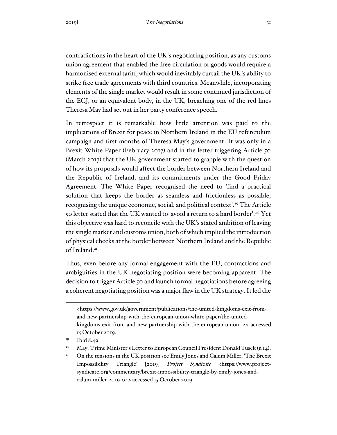contradictions in the heart of the UK's negotiating position, as any customs union agreement that enabled the free circulation of goods would require a harmonised external tariff, which would inevitably curtail the UK's ability to strike free trade agreements with third countries. Meanwhile, incorporating elements of the single market would result in some continued jurisdiction of the ECJ, or an equivalent body, in the UK, breaching one of the red lines Theresa May had set out in her party conference speech.

In retrospect it is remarkable how little attention was paid to the implications of Brexit for peace in Northern Ireland in the EU referendum campaign and first months of Theresa May's government. It was only in a Brexit White Paper (February 2017) and in the letter triggering Article 50 (March 2017) that the UK government started to grapple with the question of how its proposals would affect the border between Northern Ireland and the Republic of Ireland, and its commitments under the Good Friday Agreement. The White Paper recognised the need to 'find a practical solution that keeps the border as seamless and frictionless as possible, recognising the unique economic, social, and political context'.<sup>19</sup> The Article 50 letter stated that the UK wanted to 'avoid a return to a hard border'.<sup>20</sup> Yet this objective was hard to reconcile with the UK's stated ambition of leaving the single market and customs union, both of which implied the introduction of physical checks at the border between Northern Ireland and the Republic of Ireland.<sup>21</sup>

Thus, even before any formal engagement with the EU, contractions and ambiguities in the UK negotiating position were becoming apparent. The decision to trigger Article 50 and launch formal negotiations before agreeing a coherent negotiating position was a major flaw in the UK strategy. It led the

<sup>&</sup>lt;https://www.gov.uk/government/publications/the-united-kingdoms-exit-fromand-new-partnership-with-the-european-union-white-paper/the-unitedkingdoms-exit-from-and-new-partnership-with-the-european-union--2> accessed 15 October 2019.

<sup>&</sup>lt;sup>19</sup> Ibid 8.49.

<sup>&</sup>lt;sup>20</sup> May, 'Prime Minister's Letter to European Council President Donald Tusek (n 14).

<sup>&</sup>lt;sup>21</sup> On the tensions in the UK position see Emily Jones and Calum Miller, 'The Brexit Impossibility Triangle' [2019] *Project Syndicate* <https://www.projectsyndicate.org/commentary/brexit-impossibility-triangle-by-emily-jones-andcalum-miller-2019-04> accessed 15 October 2019.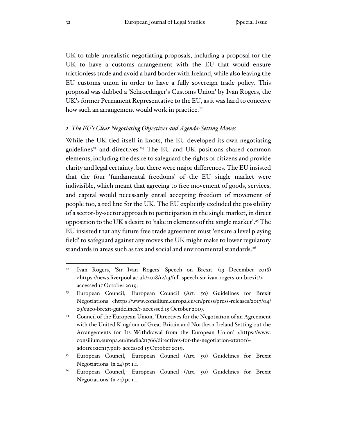UK to table unrealistic negotiating proposals, including a proposal for the UK to have a customs arrangement with the EU that would ensure frictionless trade and avoid a hard border with Ireland, while also leaving the EU customs union in order to have a fully sovereign trade policy. This proposal was dubbed a 'Schroedinger's Customs Union' by Ivan Rogers, the UK's former Permanent Representative to the EU, as it was hard to conceive how such an arrangement would work in practice.<sup>22</sup>

#### *2. The EU's Clear Negotiating Objectives and Agenda-Setting Moves*

While the UK tied itself in knots, the EU developed its own negotiating guidelines<sup>23</sup> and directives.<sup>24</sup> The EU and UK positions shared common elements, including the desire to safeguard the rights of citizens and provide clarity and legal certainty, but there were major differences. The EU insisted that the four 'fundamental freedoms' of the EU single market were indivisible, which meant that agreeing to free movement of goods, services, and capital would necessarily entail accepting freedom of movement of people too, a red line for the UK. The EU explicitly excluded the possibility of a sector-by-sector approach to participation in the single market, in direct opposition to the UK's desire to 'take in elements of the single market'.<sup>25</sup> The EU insisted that any future free trade agreement must 'ensure a level playing field' to safeguard against any moves the UK might make to lower regulatory standards in areas such as tax and social and environmental standards.<sup>26</sup>

<sup>22</sup> Ivan Rogers, 'Sir Ivan Rogers' Speech on Brexit' (13 December 2018) <https://news.liverpool.ac.uk/2018/12/13/full-speech-sir-ivan-rogers-on-brexit/> accessed 15 October 2019.

<sup>23</sup> European Council, 'European Council (Art. 50) Guidelines for Brexit Negotiations' <https://www.consilium.europa.eu/en/press/press-releases/2017/04/ 29/euco-brexit-guidelines/> accessed 15 October 2019.

<sup>&</sup>lt;sup>24</sup> Council of the European Union, 'Directives for the Negotiation of an Agreement with the United Kingdom of Great Britain and Northern Ireland Setting out the Arrangements for Its Withdrawal from the European Union' <https://www. consilium.europa.eu/media/21766/directives-for-the-negotiation-xt21016 ad01re02en17.pdf> accessed 15 October 2019.

<sup>&</sup>lt;sup>25</sup> European Council, 'European Council (Art. 50) Guidelines for Brexit Negotiations' (n 24) pt 1.1.

<sup>&</sup>lt;sup>26</sup> European Council, 'European Council (Art. 50) Guidelines for Brexit Negotiations' (n 24) pt 1.1.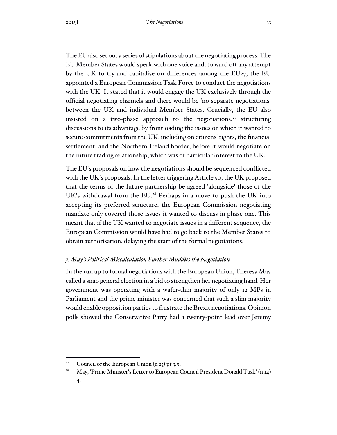The EU also set out a series of stipulations about the negotiating process. The EU Member States would speak with one voice and, to ward off any attempt by the UK to try and capitalise on differences among the EU27, the EU appointed a European Commission Task Force to conduct the negotiations with the UK. It stated that it would engage the UK exclusively through the official negotiating channels and there would be 'no separate negotiations' between the UK and individual Member States. Crucially, the EU also insisted on a two-phase approach to the negotiations, $27$  structuring discussions to its advantage by frontloading the issues on which it wanted to secure commitments from the UK, including on citizens' rights, the financial settlement, and the Northern Ireland border, before it would negotiate on the future trading relationship, which was of particular interest to the UK.

The EU's proposals on how the negotiations should be sequenced conflicted with the UK's proposals. In the letter triggering Article 50, the UK proposed that the terms of the future partnership be agreed 'alongside' those of the UK's withdrawal from the EU.<sup>28</sup> Perhaps in a move to push the UK into accepting its preferred structure, the European Commission negotiating mandate only covered those issues it wanted to discuss in phase one. This meant that if the UK wanted to negotiate issues in a different sequence, the European Commission would have had to go back to the Member States to obtain authorisation, delaying the start of the formal negotiations.

#### *3. May's Political Miscalculation Further Muddies the Negotiation*

In the run up to formal negotiations with the European Union, Theresa May called a snap general election in a bid to strengthen her negotiating hand. Her government was operating with a wafer-thin majority of only 12 MPs in Parliament and the prime minister was concerned that such a slim majority would enable opposition parties to frustrate the Brexit negotiations. Opinion polls showed the Conservative Party had a twenty-point lead over Jeremy

<sup>&</sup>lt;sup>27</sup> Council of the European Union  $(n 25)$  pt 3.9.

<sup>&</sup>lt;sup>28</sup> May, 'Prime Minister's Letter to European Council President Donald Tusk' (n 14) 4.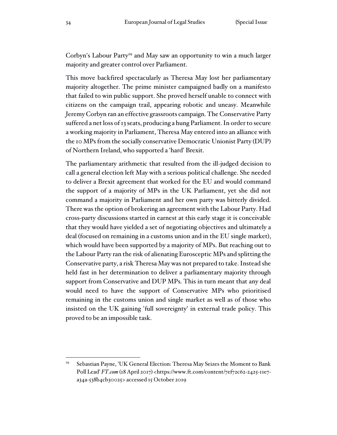Corbyn's Labour Party<sup>29</sup> and May saw an opportunity to win a much larger majority and greater control over Parliament.

This move backfired spectacularly as Theresa May lost her parliamentary majority altogether. The prime minister campaigned badly on a manifesto that failed to win public support. She proved herself unable to connect with citizens on the campaign trail, appearing robotic and uneasy. Meanwhile Jeremy Corbyn ran an effective grassroots campaign. The Conservative Party suffered a net loss of 13 seats, producing a hung Parliament. In order to secure a working majority in Parliament, Theresa May entered into an alliance with the 10 MPs from the socially conservative Democratic Unionist Party (DUP) of Northern Ireland, who supported a 'hard' Brexit.

The parliamentary arithmetic that resulted from the ill-judged decision to call a general election left May with a serious political challenge. She needed to deliver a Brexit agreement that worked for the EU and would command the support of a majority of MPs in the UK Parliament, yet she did not command a majority in Parliament and her own party was bitterly divided. There was the option of brokering an agreement with the Labour Party. Had cross-party discussions started in earnest at this early stage it is conceivable that they would have yielded a set of negotiating objectives and ultimately a deal (focused on remaining in a customs union and in the EU single market), which would have been supported by a majority of MPs. But reaching out to the Labour Party ran the risk of alienating Eurosceptic MPs and splitting the Conservative party, a risk Theresa May was not prepared to take. Instead she held fast in her determination to deliver a parliamentary majority through support from Conservative and DUP MPs. This in turn meant that any deal would need to have the support of Conservative MPs who prioritised remaining in the customs union and single market as well as of those who insisted on the UK gaining 'full sovereignty' in external trade policy. This proved to be an impossible task.

<sup>&</sup>lt;sup>29</sup> Sebastian Payne, 'UK General Election: Theresa May Seizes the Moment to Bank Poll Lead' *FT.com* (18 April 2017) <https://www.ft.com/content/7ef72c62-2425-11e7a34a-538b4cb30025> accessed 15 October 2019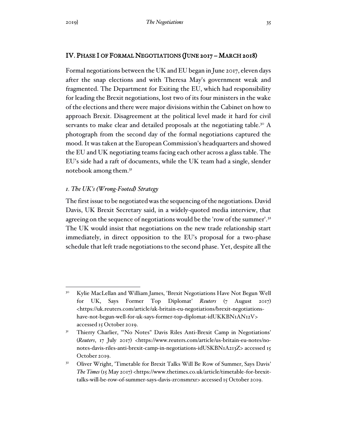## IV. PHASE I OF FORMAL NEGOTIATIONS (JUNE 2017 – MARCH 2018)

Formal negotiations between the UK and EU began in June 2017, eleven days after the snap elections and with Theresa May's government weak and fragmented. The Department for Exiting the EU, which had responsibility for leading the Brexit negotiations, lost two of its four ministers in the wake of the elections and there were major divisions within the Cabinet on how to approach Brexit. Disagreement at the political level made it hard for civil servants to make clear and detailed proposals at the negotiating table.<sup>30</sup> A photograph from the second day of the formal negotiations captured the mood. It was taken at the European Commission's headquarters and showed the EU and UK negotiating teams facing each other across a glass table. The EU's side had a raft of documents, while the UK team had a single, slender notebook among them.<sup>31</sup>

## *1. The UK's (Wrong-Footed) Strategy*

The first issue to be negotiated was the sequencing of the negotiations. David Davis, UK Brexit Secretary said, in a widely-quoted media interview, that agreeing on the sequence of negotiations would be the 'row of the summer'.<sup>32</sup> The UK would insist that negotiations on the new trade relationship start immediately, in direct opposition to the EU's proposal for a two-phase schedule that left trade negotiations to the second phase. Yet, despite all the

<sup>&</sup>lt;sup>30</sup> Kylie MacLellan and William James, 'Brexit Negotiations Have Not Begun Well for UK, Says Former Top Diplomat' *Reuters* (7 August 2017) <https://uk.reuters.com/article/uk-britain-eu-negotiations/brexit-negotiationshave-not-begun-well-for-uk-says-former-top-diplomat-idUKKBN1AN12V> accessed 15 October 2019.

<sup>&</sup>lt;sup>31</sup> Thierry Charlier, "'No Notes" Davis Riles Anti-Brexit Camp in Negotiations' (*Reuters*, 17 July 2017) <https://www.reuters.com/article/us-britain-eu-notes/nonotes-davis-riles-anti-brexit-camp-in-negotiations-idUSKBN1A213Z> accessed 15 October 2019.

<sup>&</sup>lt;sup>32</sup> Oliver Wright, 'Timetable for Brexit Talks Will Be Row of Summer, Says Davis' *The Times* (15 May 2017) <https://www.thetimes.co.uk/article/timetable-for-brexittalks-will-be-row-of-summer-says-davis-zr0nsmrxr> accessed 15 October 2019.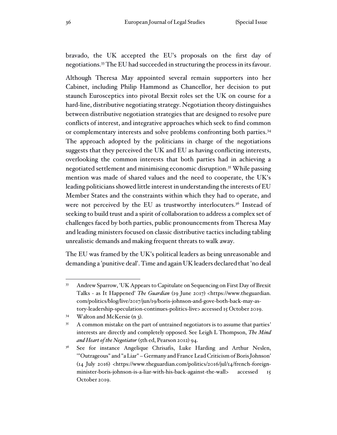bravado, the UK accepted the EU's proposals on the first day of negotiations.<sup>33</sup> The EU had succeeded in structuring the process in its favour.

Although Theresa May appointed several remain supporters into her Cabinet, including Philip Hammond as Chancellor, her decision to put staunch Eurosceptics into pivotal Brexit roles set the UK on course for a hard-line, distributive negotiating strategy. Negotiation theory distinguishes between distributive negotiation strategies that are designed to resolve pure conflicts of interest, and integrative approaches which seek to find common or complementary interests and solve problems confronting both parties.<sup>34</sup> The approach adopted by the politicians in charge of the negotiations suggests that they perceived the UK and EU as having conflicting interests, overlooking the common interests that both parties had in achieving a negotiated settlement and minimising economic disruption.<sup>35</sup> While passing mention was made of shared values and the need to cooperate, the UK's leading politicians showed little interest in understanding the interests of EU Member States and the constraints within which they had to operate, and were not perceived by the EU as trustworthy interlocuters.<sup>36</sup> Instead of seeking to build trust and a spirit of collaboration to address a complex set of challenges faced by both parties, public pronouncements from Theresa May and leading ministers focused on classic distributive tactics including tabling unrealistic demands and making frequent threats to walk away.

The EU was framed by the UK's political leaders as being unreasonable and demanding a 'punitive deal'. Time and again UK leaders declared that 'no deal

<sup>33</sup> Andrew Sparrow, 'UK Appears to Capitulate on Sequencing on First Day of Brexit Talks - as It Happened' *The Guardian* (19 June 2017) <https://www.theguardian. com/politics/blog/live/2017/jun/19/boris-johnson-and-gove-both-back-may-astory-leadership-speculation-continues-politics-live> accessed 15 October 2019.

<sup>34</sup> Walton and McKersie (n 3).

<sup>&</sup>lt;sup>35</sup> A common mistake on the part of untrained negotiators is to assume that parties' interests are directly and completely opposed. See Leigh L Thompson, *The Mind and Heart of the Negotiator* (5th ed, Pearson 2012) 94.

<sup>&</sup>lt;sup>36</sup> See for instance Angelique Chrisafis, Luke Harding and Arthur Neslen, '"Outrageous" and "a Liar" – Germany and France Lead Criticism of Boris Johnson' (14 July 2016) <https://www.theguardian.com/politics/2016/jul/14/french-foreignminister-boris-johnson-is-a-liar-with-his-back-against-the-wall> accessed 15 October 2019.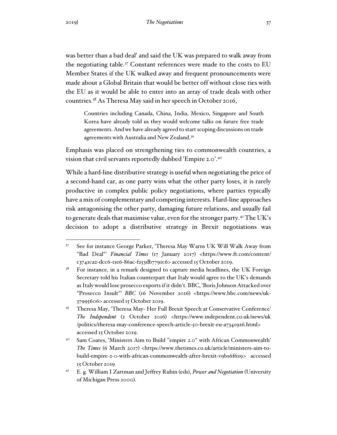was better than a bad deal' and said the UK was prepared to walk away from the negotiating table.<sup>37</sup> Constant references were made to the costs to EU Member States if the UK walked away and frequent pronouncements were made about a Global Britain that would be better off without close ties with the EU as it would be able to enter into an array of trade deals with other countries.<sup>38</sup> As Theresa May said in her speech in October 2016,

Countries including Canada, China, India, Mexico, Singapore and South Korea have already told us they would welcome talks on future free trade agreements. And we have already agreed to start scoping discussions on trade agreements with Australia and New Zealand.<sup>39</sup>

Emphasis was placed on strengthening ties to commonwealth countries, a vision that civil servants reportedly dubbed 'Empire 2.0'.<sup>40</sup>

While a hard-line distributive strategy is useful when negotiating the price of a second-hand car, as one party wins what the other party loses, it is rarely productive in complex public policy negotiations, where parties typically have a mix of complementary and competing interests. Hard-line approaches risk antagonising the other party, damaging future relations, and usually fail to generate deals that maximise value, even for the stronger party.<sup>41</sup> The UK's decision to adopt a distributive strategy in Brexit negotiations was

<sup>37</sup> See for instance George Parker, 'Theresa May Warns UK Will Walk Away from "Bad Deal"' *Financial Times* (17 January 2017) <https://www.ft.com/content/ c3741ca2-dcc6-11e6-86ac-f253db7791c6> accessed 15 October 2019.

 $38$  For instance, in a remark designed to capture media headlines, the UK Foreign Secretary told his Italian counterpart that Italy would agree to the UK's demands as Italy would lose prosecco exports if it didn't. BBC, 'Boris Johnson Attacked over "Prosecco Insult"' *BBC* (16 November 2016) <https://www.bbc.com/news/uk-37995606> accessed 15 October 2019.

<sup>39</sup> Theresa May, 'Theresa May- Her Full Brexit Speech at Conservative Conference' *The Independent* (2 October 2016) <https://www.independent.co.uk/news/uk /politics/theresa-may-conference-speech-article-50-brexit-eu-a7341926.html> accessed 15 October 2019.

<sup>40</sup> Sam Coates, 'Ministers Aim to Build "empire 2.0" with African Commonwealth' *The Times* (6 March 2017) <https://www.thetimes.co.uk/article/ministers-aim-tobuild-empire-2-0-with-african-commonwealth-after-brexit-v9bs6f6z9> accessed 15 October 2019

<sup>41</sup> E. g. William I Zartman and Jeffrey Rubin (eds), *Power and Negotiation* (University of Michigan Press 2000).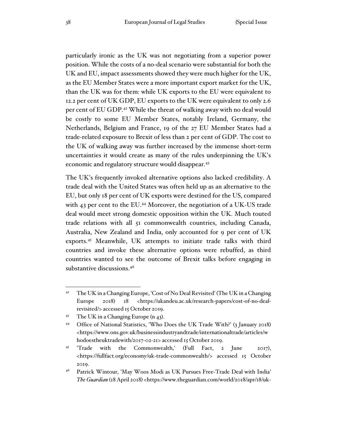particularly ironic as the UK was not negotiating from a superior power position. While the costs of a no-deal scenario were substantial for both the UK and EU, impact assessments showed they were much higher for the UK, as the EU Member States were a more important export market for the UK, than the UK was for them: while UK exports to the EU were equivalent to 12.2 per cent of UK GDP, EU exports to the UK were equivalent to only 2.6 per cent of EU GDP.<sup>42</sup> While the threat of walking away with no deal would be costly to some EU Member States, notably Ireland, Germany, the Netherlands, Belgium and France, 19 of the 27 EU Member States had a trade-related exposure to Brexit of less than 2 per cent of GDP. The cost to the UK of walking away was further increased by the immense short-term uncertainties it would create as many of the rules underpinning the UK's economic and regulatory structure would disappear.<sup>43</sup>

The UK's frequently invoked alternative options also lacked credibility. A trade deal with the United States was often held up as an alternative to the EU, but only 18 per cent of UK exports were destined for the US, compared with 43 per cent to the EU.<sup>44</sup> Moreover, the negotiation of a UK-US trade deal would meet strong domestic opposition within the UK. Much touted trade relations with all 51 commonwealth countries, including Canada, Australia, New Zealand and India, only accounted for 9 per cent of UK exports.<sup>45</sup> Meanwhile, UK attempts to initiate trade talks with third countries and invoke these alternative options were rebuffed, as third countries wanted to see the outcome of Brexit talks before engaging in substantive discussions.<sup>46</sup>

<sup>&</sup>lt;sup>42</sup> The UK in a Changing Europe, 'Cost of No Deal Revisited' (The UK in a Changing Europe 2018) 18 <https://ukandeu.ac.uk/research-papers/cost-of-no-dealrevisited/> accessed 15 October 2019.

<sup>43</sup> The UK in a Changing Europe (n 43).

<sup>44</sup> Office of National Statistics, 'Who Does the UK Trade With?' (3 January 2018) <https://www.ons.gov.uk/businessindustryandtrade/internationaltrade/articles/w hodoestheuktradewith/2017-02-21> accessed 15 October 2019.

<sup>45</sup> 'Trade with the Commonwealth,' (Full Fact, 2 June 2017), <https://fullfact.org/economy/uk-trade-commonwealth/> accessed 15 October 2019.

<sup>46</sup> Patrick Wintour, 'May Woos Modi as UK Pursues Free-Trade Deal with India' *The Guardian* (18 April 2018) <https://www.theguardian.com/world/2018/apr/18/uk-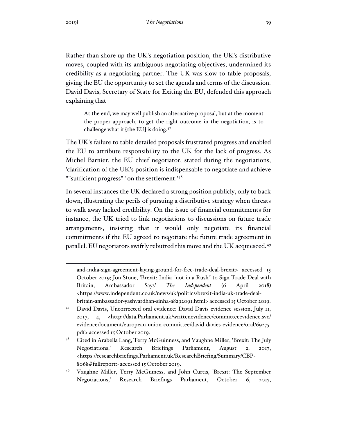Rather than shore up the UK's negotiation position, the UK's distributive moves, coupled with its ambiguous negotiating objectives, undermined its credibility as a negotiating partner. The UK was slow to table proposals, giving the EU the opportunity to set the agenda and terms of the discussion. David Davis, Secretary of State for Exiting the EU, defended this approach explaining that

At the end, we may well publish an alternative proposal, but at the moment the proper approach, to get the right outcome in the negotiation, is to challenge what it [the EU] is doing.<sup>47</sup>

The UK's failure to table detailed proposals frustrated progress and enabled the EU to attribute responsibility to the UK for the lack of progress. As Michel Barnier, the EU chief negotiator, stated during the negotiations, 'clarification of the UK's position is indispensable to negotiate and achieve ""sufficient progress"" on the settlement.'<sup>48</sup>

In several instances the UK declared a strong position publicly, only to back down, illustrating the perils of pursuing a distributive strategy when threats to walk away lacked credibility. On the issue of financial commitments for instance, the UK tried to link negotiations to discussions on future trade arrangements, insisting that it would only negotiate its financial commitments if the EU agreed to negotiate the future trade agreement in parallel. EU negotiators swiftly rebutted this move and the UK acquiesced.<sup>49</sup>

and-india-sign-agreement-laying-ground-for-free-trade-deal-brexit> accessed 15 October 2019; Jon Stone, 'Brexit: India "not in a Rush" to Sign Trade Deal with Britain, Ambassador Says' *The Independent* (6 April 2018) <https://www.independent.co.uk/news/uk/politics/brexit-india-uk-trade-dealbritain-ambassador-yashvardhan-sinha-a8292091.html> accessed 15 October 2019.

<sup>47</sup> David Davis, Uncorrected oral evidence: David Davis evidence session, July 11, 2017, 4, <http://data.Parliament.uk/writtenevidence/committeeevidence.svc/ evidencedocument/european-union-committee/david-davies-evidence/oral/69275. pdf> accessed 15 October 2019.

<sup>48</sup> Cited in Arabella Lang, Terry McGuinness, and Vaughne Miller, 'Brexit: The July Negotiations,' Research Briefings Parliament, August 2, 2017, <https://researchbriefings.Parliament.uk/ResearchBriefing/Summary/CBP-8068#fullreport> accessed 15 October 2019.

<sup>49</sup> Vaughne Miller, Terry McGuiness, and John Curtis, 'Brexit: The September Negotiations,' Research Briefings Parliament, October 6, 2017,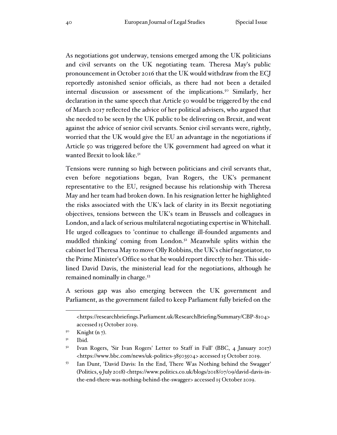As negotiations got underway, tensions emerged among the UK politicians and civil servants on the UK negotiating team. Theresa May's public pronouncement in October 2016 that the UK would withdraw from the ECJ reportedly astonished senior officials, as there had not been a detailed internal discussion or assessment of the implications.<sup>50</sup> Similarly, her declaration in the same speech that Article 50 would be triggered by the end of March 2017 reflected the advice of her political advisers, who argued that she needed to be seen by the UK public to be delivering on Brexit, and went against the advice of senior civil servants. Senior civil servants were, rightly, worried that the UK would give the EU an advantage in the negotiations if Article 50 was triggered before the UK government had agreed on what it wanted Brexit to look like.<sup>51</sup>

Tensions were running so high between politicians and civil servants that, even before negotiations began, Ivan Rogers, the UK's permanent representative to the EU, resigned because his relationship with Theresa May and her team had broken down. In his resignation letter he highlighted the risks associated with the UK's lack of clarity in its Brexit negotiating objectives, tensions between the UK's team in Brussels and colleagues in London, and a lack of serious multilateral negotiating expertise in Whitehall. He urged colleagues to 'continue to challenge ill-founded arguments and muddled thinking' coming from London.<sup>52</sup> Meanwhile splits within the cabinet led Theresa May to move Olly Robbins, the UK's chief negotiator, to the Prime Minister's Office so that he would report directly to her. This sidelined David Davis, the ministerial lead for the negotiations, although he remained nominally in charge.<sup>53</sup>

A serious gap was also emerging between the UK government and Parliament, as the government failed to keep Parliament fully briefed on the

<sup>&</sup>lt;https://researchbriefings.Parliament.uk/ResearchBriefing/Summary/CBP-8104> accessed 15 October 2019.

 $5^{\circ}$  Knight (n 7).

 $5<sup>I</sup>$  Ibid.

<sup>52</sup> Ivan Rogers, 'Sir Ivan Rogers' Letter to Staff in Full' (BBC, 4 January 2017) <https://www.bbc.com/news/uk-politics-38503504> accessed 15 October 2019.

<sup>53</sup> Ian Dunt, 'David Davis: In the End, There Was Nothing behind the Swagger' (Politics, 9 July 2018) <https://www.politics.co.uk/blogs/2018/07/09/david-davis-inthe-end-there-was-nothing-behind-the-swagger> accessed 15 October 2019.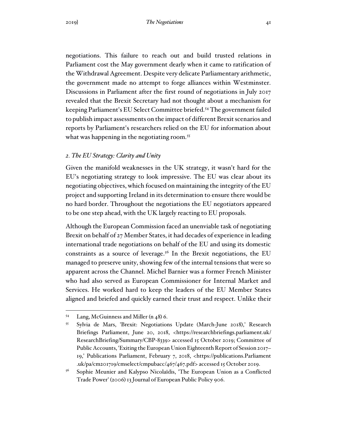negotiations. This failure to reach out and build trusted relations in Parliament cost the May government dearly when it came to ratification of the Withdrawal Agreement. Despite very delicate Parliamentary arithmetic, the government made no attempt to forge alliances within Westminster. Discussions in Parliament after the first round of negotiations in July 2017 revealed that the Brexit Secretary had not thought about a mechanism for keeping Parliament's EU Select Committee briefed.<sup>54</sup> The government failed to publish impact assessments on the impact of different Brexit scenarios and reports by Parliament's researchers relied on the EU for information about what was happening in the negotiating room.<sup>55</sup>

#### *2. The EU Strategy: Clarity and Unity*

Given the manifold weaknesses in the UK strategy, it wasn't hard for the EU's negotiating strategy to look impressive. The EU was clear about its negotiating objectives, which focused on maintaining the integrity of the EU project and supporting Ireland in its determination to ensure there would be no hard border. Throughout the negotiations the EU negotiators appeared to be one step ahead, with the UK largely reacting to EU proposals.

Although the European Commission faced an unenviable task of negotiating Brexit on behalf of 27 Member States, it had decades of experience in leading international trade negotiations on behalf of the EU and using its domestic constraints as a source of leverage.<sup>56</sup> In the Brexit negotiations, the EU managed to preserve unity, showing few of the internal tensions that were so apparent across the Channel. Michel Barnier was a former French Minister who had also served as European Commissioner for Internal Market and Services. He worked hard to keep the leaders of the EU Member States aligned and briefed and quickly earned their trust and respect. Unlike their

<sup>54</sup> Lang, McGuinness and Miller (n 48) 6.

<sup>55</sup> Sylvia de Mars, 'Brexit: Negotiations Update (March-June 2018),' Research Briefings Parliament, June 20, 2018, <https://researchbriefings.parliament.uk/ ResearchBriefing/Summary/CBP-8339> accessed 15 October 2019; Committee of Public Accounts, 'Exiting the European Union Eighteenth Report of Session 2017– 19,' Publications Parliament, February 7, 2018, <https://publications.Parliament .uk/pa/cm201719/cmselect/cmpubacc/467/467.pdf> accessed 15 October 2019.

<sup>56</sup> Sophie Meunier and Kalypso Nicolaïdis, 'The European Union as a Conflicted Trade Power' (2006) 13 Journal of European Public Policy 906.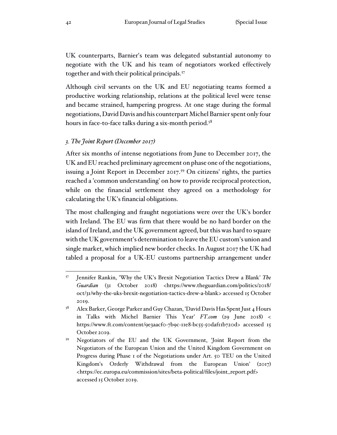UK counterparts, Barnier's team was delegated substantial autonomy to negotiate with the UK and his team of negotiators worked effectively together and with their political principals.<sup>57</sup>

Although civil servants on the UK and EU negotiating teams formed a productive working relationship, relations at the political level were tense and became strained, hampering progress. At one stage during the formal negotiations, David Davis and his counterpart Michel Barnier spent only four hours in face-to-face talks during a six-month period.<sup>58</sup>

#### *3. The Joint Report (December 2017)*

After six months of intense negotiations from June to December 2017, the UK and EU reached preliminary agreement on phase one of the negotiations, issuing a Joint Report in December 2017.<sup>59</sup> On citizens' rights, the parties reached a 'common understanding' on how to provide reciprocal protection, while on the financial settlement they agreed on a methodology for calculating the UK's financial obligations.

The most challenging and fraught negotiations were over the UK's border with Ireland. The EU was firm that there would be no hard border on the island of Ireland, and the UK government agreed, but this was hard to square with the UK government's determination to leave the EU custom's union and single market, which implied new border checks. In August 2017 the UK had tabled a proposal for a UK-EU customs partnership arrangement under

<sup>57</sup> Jennifer Rankin, 'Why the UK's Brexit Negotiation Tactics Drew a Blank' *The Guardian* (31 October 2018) <https://www.theguardian.com/politics/2018/ oct/31/why-the-uks-brexit-negotiation-tactics-drew-a-blank> accessed 15 October 2019.

<sup>58</sup> Alex Barker, George Parker and Guy Chazan, 'David Davis Has Spent Just 4 Hours in Talks with Michel Barnier This Year' *FT.com* (29 June 2018) < https://www.ft.com/content/9e3aacf0-7b9c-11e8-bc55-50daf11b720d> accessed 15 October 2019.

<sup>59</sup> Negotiators of the EU and the UK Government, 'Joint Report from the Negotiators of the European Union and the United Kingdom Government on Progress during Phase 1 of the Negotiations under Art. 50 TEU on the United Kingdom's Orderly Withdrawal from the European Union' (2017) <https://ec.europa.eu/commission/sites/beta-political/files/joint\_report.pdf> accessed 15 October 2019.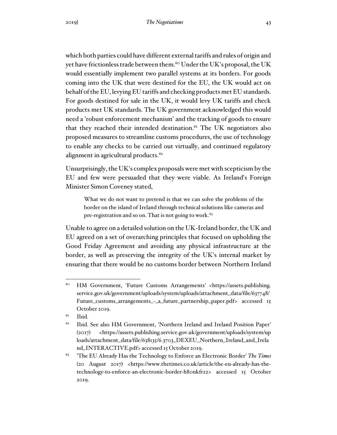which both parties could have different external tariffs and rules of origin and yet have frictionless trade between them.<sup>60</sup> Under the UK's proposal, the UK would essentially implement two parallel systems at its borders. For goods coming into the UK that were destined for the EU, the UK would act on behalf of the EU, levying EU tariffs and checking products met EU standards. For goods destined for sale in the UK, it would levy UK tariffs and check products met UK standards. The UK government acknowledged this would need a 'robust enforcement mechanism' and the tracking of goods to ensure that they reached their intended destination.<sup>61</sup> The UK negotiators also proposed measures to streamline customs procedures, the use of technology to enable any checks to be carried out virtually, and continued regulatory alignment in agricultural products.<sup>62</sup>

Unsurprisingly, the UK's complex proposals were met with scepticism by the EU and few were persuaded that they were viable. As Ireland's Foreign Minister Simon Coveney stated,

What we do not want to pretend is that we can solve the problems of the border on the island of Ireland through technical solutions like cameras and pre-registration and so on. That is not going to work.<sup>63</sup>

Unable to agree on a detailed solution on the UK-Ireland border, the UK and EU agreed on a set of overarching principles that focused on upholding the Good Friday Agreement and avoiding any physical infrastructure at the border, as well as preserving the integrity of the UK's internal market by ensuring that there would be no customs border between Northern Ireland

 $61$  Ibid.

<sup>60</sup> HM Government, 'Future Customs Arrangements' <https://assets.publishing. service.gov.uk/government/uploads/system/uploads/attachment\_data/file/637748/ Future\_customs\_arrangements\_-\_a\_future\_partnership\_paper.pdf> accessed 15 October 2019.

<sup>&</sup>lt;sup>62</sup> Ibid. See also HM Government, 'Northern Ireland and Ireland Position Paper' (2017) <https://assets.publishing.service.gov.uk/government/uploads/system/up loads/attachment\_data/file/638135/6.3703\_DEXEU\_Northern\_Ireland\_and\_Irela nd\_INTERACTIVE.pdf> accessed 15 October 2019.

<sup>63</sup> 'The EU Already Has the Technology to Enforce an Electronic Border' *The Times*  (20 August 2017) <https://www.thetimes.co.uk/article/the-eu-already-has-thetechnology-to-enforce-an-electronic-border-h80nkfr22> accessed 15 October 2019.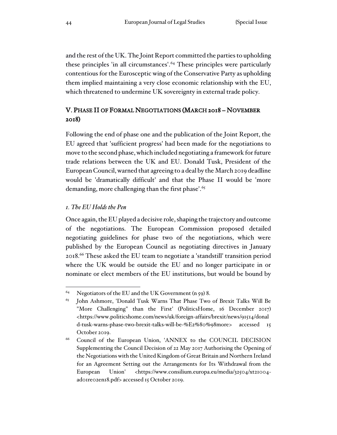and the rest of the UK. The Joint Report committed the parties to upholding these principles 'in all circumstances'.<sup>64</sup> These principles were particularly contentious for the Eurosceptic wing of the Conservative Party as upholding them implied maintaining a very close economic relationship with the EU, which threatened to undermine UK sovereignty in external trade policy.

# V. PHASE II OF FORMAL NEGOTIATIONS (MARCH 2018 – NOVEMBER 2018)

Following the end of phase one and the publication of the Joint Report, the EU agreed that 'sufficient progress' had been made for the negotiations to move to the second phase, which included negotiating a framework for future trade relations between the UK and EU. Donald Tusk, President of the European Council, warned that agreeing to a deal by the March 2019 deadline would be 'dramatically difficult' and that the Phase II would be 'more demanding, more challenging than the first phase'.<sup>65</sup>

## *1. The EU Holds the Pen*

Once again, the EU played a decisive role, shaping the trajectory and outcome of the negotiations. The European Commission proposed detailed negotiating guidelines for phase two of the negotiations, which were published by the European Council as negotiating directives in January 2018.<sup>66</sup> These asked the EU team to negotiate a 'standstill' transition period where the UK would be outside the EU and no longer participate in or nominate or elect members of the EU institutions, but would be bound by

<sup>&</sup>lt;sup>64</sup> Negotiators of the EU and the UK Government  $(n, 59)$  8.

<sup>&</sup>lt;sup>65</sup> John Ashmore, 'Donald Tusk Warns That Phase Two of Brexit Talks Will Be "More Challenging" than the First' (PoliticsHome, 16 December 2017) <https://www.politicshome.com/news/uk/foreign-affairs/brexit/news/91514/donal d-tusk-warns-phase-two-brexit-talks-will-be-%E2%80%98more> accessed 15 October 2019.

<sup>66</sup> Council of the European Union, 'ANNEX to the COUNCIL DECISION Supplementing the Council Decision of 22 May 2017 Authorising the Opening of the Negotiations with the United Kingdom of Great Britain and Northern Ireland for an Agreement Setting out the Arrangements for Its Withdrawal from the European Union' <https://www.consilium.europa.eu/media/32504/xt21004ad01re02en18.pdf> accessed 15 October 2019.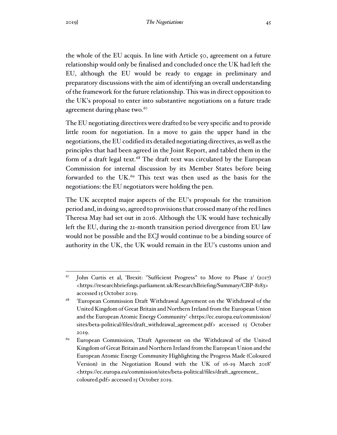the whole of the EU acquis. In line with Article 50, agreement on a future relationship would only be finalised and concluded once the UK had left the EU, although the EU would be ready to engage in preliminary and preparatory discussions with the aim of identifying an overall understanding of the framework for the future relationship. This was in direct opposition to the UK's proposal to enter into substantive negotiations on a future trade agreement during phase two.<sup>67</sup>

The EU negotiating directives were drafted to be very specific and to provide little room for negotiation. In a move to gain the upper hand in the negotiations, the EU codified its detailed negotiating directives, as well as the principles that had been agreed in the Joint Report, and tabled them in the form of a draft legal text.<sup>68</sup> The draft text was circulated by the European Commission for internal discussion by its Member States before being forwarded to the UK.<sup>69</sup> This text was then used as the basis for the negotiations: the EU negotiators were holding the pen.

The UK accepted major aspects of the EU's proposals for the transition period and, in doing so, agreed to provisions that crossed many of the red lines Theresa May had set out in 2016. Although the UK would have technically left the EU, during the 21-month transition period divergence from EU law would not be possible and the ECJ would continue to be a binding source of authority in the UK, the UK would remain in the EU's customs union and

 $67$  John Curtis et al, 'Brexit: "Sufficient Progress" to Move to Phase 2' (2017) <https://researchbriefings.parliament.uk/ResearchBriefing/Summary/CBP-8183> accessed 15 October 2019.

<sup>68</sup> 'European Commission Draft Withdrawal Agreement on the Withdrawal of the United Kingdom of Great Britain and Northern Ireland from the European Union and the European Atomic Energy Community' <https://ec.europa.eu/commission/ sites/beta-political/files/draft\_withdrawal\_agreement.pdf> accessed 15 October 2019.

<sup>&</sup>lt;sup>69</sup> European Commission, 'Draft Agreement on the Withdrawal of the United Kingdom of Great Britain and Northern Ireland from the European Union and the European Atomic Energy Community Highlighting the Progress Made (Coloured Version) in the Negotiation Round with the UK of 16-19 March 2018' <https://ec.europa.eu/commission/sites/beta-political/files/draft\_agreement\_ coloured.pdf> accessed 15 October 2019.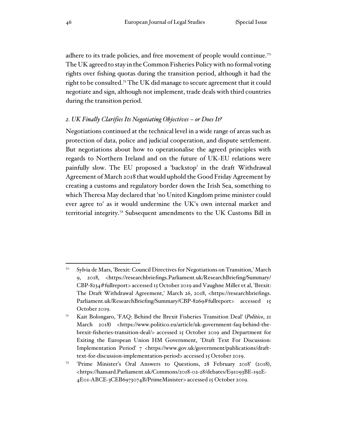adhere to its trade policies, and free movement of people would continue.<sup>70</sup> The UK agreed to stay in the Common Fisheries Policy with no formal voting rights over fishing quotas during the transition period, although it had the right to be consulted.<sup>71</sup> The UK did manage to secure agreement that it could negotiate and sign, although not implement, trade deals with third countries during the transition period.

#### *2. UK Finally Clarifies Its Negotiating Objectives – or Does It?*

Negotiations continued at the technical level in a wide range of areas such as protection of data, police and judicial cooperation, and dispute settlement. But negotiations about how to operationalise the agreed principles with regards to Northern Ireland and on the future of UK-EU relations were painfully slow. The EU proposed a 'backstop' in the draft Withdrawal Agreement of March 2018 that would uphold the Good Friday Agreement by creating a customs and regulatory border down the Irish Sea, something to which Theresa May declared that 'no United Kingdom prime minister could ever agree to' as it would undermine the UK's own internal market and territorial integrity.<sup>72</sup> Subsequent amendments to the UK Customs Bill in

<sup>70</sup> Sylvia de Mars, 'Brexit: Council Directives for Negotiations on Transition,' March 9, 2018, <https://researchbriefings.Parliament.uk/ResearchBriefing/Summary/ CBP-8234#fullreport> accessed 15 October 2019 and Vaughne Miller et al, 'Brexit: The Draft Withdrawal Agreement,' March 26, 2018, <https://researchbriefings. Parliament.uk/ResearchBriefing/Summary/CBP-8269#fullreport> accessed 15 October 2019.

<sup>71</sup> Kait Bolongaro, 'FAQ: Behind the Brexit Fisheries Transition Deal' (*Politico*, 21 March 2018) <https://www.politico.eu/article/uk-government-faq-behind-thebrexit-fisheries-transition-deal/> accessed 15 October 2019 and Department for Exiting the European Union HM Government, 'Draft Text For Discussion: Implementation Period' 7 <https://www.gov.uk/government/publications/drafttext-for-discussion-implementation-period> accessed 15 October 2019.

<sup>72</sup> 'Prime Minister's Oral Answers to Questions, 28 February 2018' (2018), <https://hansard.Parliament.uk/Commons/2018-02-28/debates/E91093BE-192E-4E01-ABCE-3CEB6973074B/PrimeMinister> accessed 15 October 2019.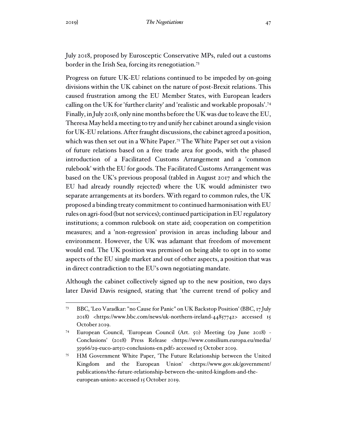July 2018, proposed by Eurosceptic Conservative MPs, ruled out a customs border in the Irish Sea, forcing its renegotiation.<sup>73</sup>

Progress on future UK-EU relations continued to be impeded by on-going divisions within the UK cabinet on the nature of post-Brexit relations. This caused frustration among the EU Member States, with European leaders calling on the UK for 'further clarity' and 'realistic and workable proposals'.<sup>74</sup> Finally, in July 2018, only nine months before the UK was due to leave the EU, Theresa May held a meeting to try and unify her cabinet around a single vision for UK-EU relations. After fraught discussions, the cabinet agreed a position, which was then set out in a White Paper.<sup>75</sup> The White Paper set out a vision of future relations based on a free trade area for goods, with the phased introduction of a Facilitated Customs Arrangement and a 'common rulebook' with the EU for goods. The Facilitated Customs Arrangement was based on the UK's previous proposal (tabled in August 2017 and which the EU had already roundly rejected) where the UK would administer two separate arrangements at its borders. With regard to common rules, the UK proposed a binding treaty commitment to continued harmonisation with EU rules on agri-food (but not services); continued participation in EU regulatory institutions; a common rulebook on state aid; cooperation on competition measures; and a 'non-regression' provision in areas including labour and environment. However, the UK was adamant that freedom of movement would end. The UK position was premised on being able to opt in to some aspects of the EU single market and out of other aspects, a position that was in direct contradiction to the EU's own negotiating mandate.

Although the cabinet collectively signed up to the new position, two days later David Davis resigned, stating that 'the current trend of policy and

<sup>73</sup> BBC, 'Leo Varadkar: "no Cause for Panic" on UK Backstop Position' (BBC, 17 July 2018) <https://www.bbc.com/news/uk-northern-ireland-44857742> accessed 15 October 2019.

<sup>74</sup> European Council, 'European Council (Art. 50) Meeting (29 June 2018) - Conclusions' (2018) Press Release <https://www.consilium.europa.eu/media/ 35966/29-euco-art50-conclusions-en.pdf> accessed 15 October 2019.

<sup>75</sup> HM Government White Paper, 'The Future Relationship between the United Kingdom and the European Union' <https://www.gov.uk/government/ publications/the-future-relationship-between-the-united-kingdom-and-theeuropean-union> accessed 15 October 2019.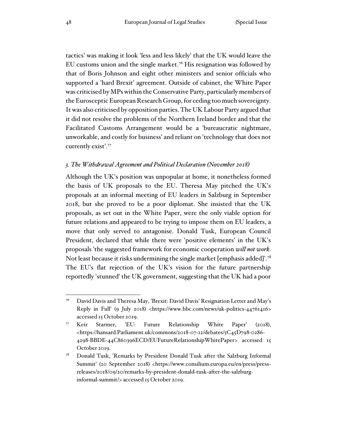tactics' was making it look 'less and less likely' that the UK would leave the EU customs union and the single market.<sup>76</sup> His resignation was followed by that of Boris Johnson and eight other ministers and senior officials who supported a 'hard Brexit' agreement. Outside of cabinet, the White Paper was criticised by MPs within the Conservative Party, particularly members of the Eurosceptic European Research Group, for ceding too much sovereignty. It was also criticised by opposition parties. The UK Labour Party argued that it did not resolve the problems of the Northern Ireland border and that the Facilitated Customs Arrangement would be a 'bureaucratic nightmare, unworkable, and costly for business' and reliant on 'technology that does not currently exist'.<sup>77</sup>

#### *3. The Withdrawal Agreement and Political Declaration (November 2018)*

Although the UK's position was unpopular at home, it nonetheless formed the basis of UK proposals to the EU. Theresa May pitched the UK's proposals at an informal meeting of EU leaders in Salzburg in September 2018, but she proved to be a poor diplomat. She insisted that the UK proposals, as set out in the White Paper, were the only viable option for future relations and appeared to be trying to impose them on EU leaders, a move that only served to antagonise. Donald Tusk, European Council President, declared that while there were 'positive elements' in the UK's proposals 'the suggested framework for economic cooperation *will not work.* Not least because it risks undermining the single market [emphasis added]'.<sup>78</sup> The EU's flat rejection of the UK's vision for the future partnership reportedly 'stunned' the UK government, suggesting that the UK had a poor

<sup>76</sup> David Davis and Theresa May, 'Brexit: David Davis' Resignation Letter and May's Reply in Full' (9 July 2018) <https://www.bbc.com/news/uk-politics-44761416> accessed 15 October 2019.

<sup>77</sup> Keir Starmer, 'EU: Future Relationship White Paper' (2018), <https://hansard.Parliament.uk/commons/2018-07-12/debates/5C45D798-0286- 4298-BBDE-44C860396ECD/EUFutureRelationshipWhitePaper> accessed 15 October 2019.

Donald Tusk, 'Remarks by President Donald Tusk after the Salzburg Informal Summit' (20 September 2018) <https://www.consilium.europa.eu/en/press/pressreleases/2018/09/20/remarks-by-president-donald-tusk-after-the-salzburginformal-summit/> accessed 15 October 2019.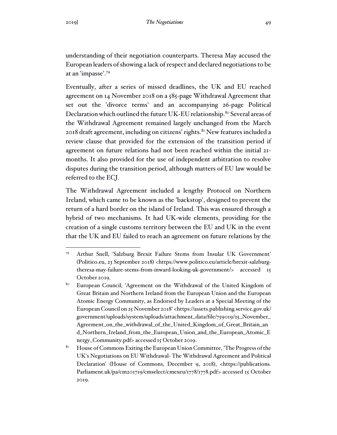understanding of their negotiation counterparts. Theresa May accused the European leaders of showing a lack of respect and declared negotiations to be at an 'impasse'.<sup>79</sup>

Eventually, after a series of missed deadlines, the UK and EU reached agreement on 14 November 2018 on a 585-page Withdrawal Agreement that set out the 'divorce terms' and an accompanying 26-page Political Declaration which outlined the future UK-EU relationship.<sup>80</sup> Several areas of the Withdrawal Agreement remained largely unchanged from the March  $2018$  draft agreement, including on citizens' rights. $81$  New features included a review clause that provided for the extension of the transition period if agreement on future relations had not been reached within the initial 21 months. It also provided for the use of independent arbitration to resolve disputes during the transition period, although matters of EU law would be referred to the ECJ.

The Withdrawal Agreement included a lengthy Protocol on Northern Ireland, which came to be known as the 'backstop', designed to prevent the return of a hard border on the island of Ireland. This was ensured through a hybrid of two mechanisms. It had UK-wide elements, providing for the creation of a single customs territory between the EU and UK in the event that the UK and EU failed to reach an agreement on future relations by the

<sup>79</sup> Arthur Snell, 'Salzburg Brexit Failure Stems from Insular UK Government' (Politico.eu, 23 September 2018) <https://www.politico.eu/article/brexit-salzburgtheresa-may-failure-stems-from-inward-looking-uk-government/> accessed 15 October 2019.

<sup>&</sup>lt;sup>80</sup> European Council, 'Agreement on the Withdrawal of the United Kingdom of Great Britain and Northern Ireland from the European Union and the European Atomic Energy Community, as Endorsed by Leaders at a Special Meeting of the European Council on 25 November 2018' <https://assets.publishing.service.gov.uk/ government/uploads/system/uploads/attachment\_data/file/759019/25\_November\_ Agreement\_on\_the\_withdrawal\_of\_the\_United\_Kingdom\_of\_Great\_Britain\_an d\_Northern\_Ireland\_from\_the\_European\_Union\_and\_the\_European\_Atomic\_E nergy\_Community.pdf> accessed 15 October 2019.

<sup>&</sup>lt;sup>81</sup> House of Commons Exiting the European Union Committee, 'The Progress of the UK's Negotiations on EU Withdrawal- The Withdrawal Agreement and Political Declaration' (House of Commons, December 9, 2018), <https://publications. Parliament.uk/pa/cm201719/cmselect/cmexeu/1778/1778.pdf> accessed 15 October 2019.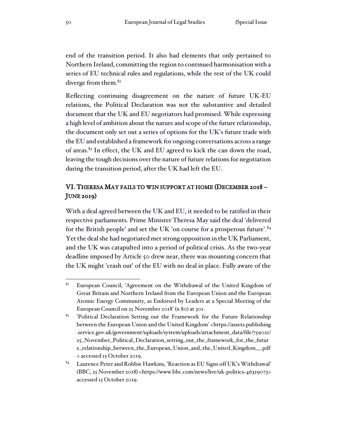end of the transition period. It also had elements that only pertained to Northern Ireland, committing the region to continued harmonisation with a series of EU technical rules and regulations, while the rest of the UK could diverge from them.<sup>82</sup>

Reflecting continuing disagreement on the nature of future UK-EU relations, the Political Declaration was not the substantive and detailed document that the UK and EU negotiators had promised. While expressing a high level of ambition about the nature and scope of the future relationship, the document only set out a series of options for the UK's future trade with the EU and established a framework for ongoing conversations across a range of areas.<sup>83</sup> In effect, the UK and EU agreed to kick the can down the road, leaving the tough decisions over the nature of future relations for negotiation during the transition period, after the UK had left the EU.

# VI. THERESA MAY FAILS TO WIN SUPPORT AT HOME (DECEMBER 2018 – JUNE 2019)

With a deal agreed between the UK and EU, it needed to be ratified in their respective parliaments. Prime Minister Theresa May said the deal 'delivered for the British people' and set the UK 'on course for a prosperous future'.<sup>84</sup> Yet the deal she had negotiated met strong opposition in the UK Parliament, and the UK was catapulted into a period of political crisis. As the two-year deadline imposed by Article 50 drew near, there was mounting concern that the UK might 'crash out' of the EU with no deal in place. Fully aware of the

<sup>&</sup>lt;sup>82</sup> European Council, 'Agreement on the Withdrawal of the United Kingdom of Great Britain and Northern Ireland from the European Union and the European Atomic Energy Community, as Endorsed by Leaders at a Special Meeting of the European Council on 25 November 2018' (n 80) at 301.

<sup>83</sup> 'Political Declaration Setting out the Framework for the Future Relationship between the European Union and the United Kingdom' <https://assets.publishing .service.gov.uk/government/uploads/system/uploads/attachment\_data/file/759021/ 25\_November\_Political\_Declaration\_setting\_out\_the\_framework\_for\_the\_futur e\_relationship\_between\_the\_European\_Union\_and\_the\_United\_Kingdom\_\_.pdf > accessed 15 October 2019.

 $84$  Laurence Peter and Robbie Hawkins, 'Reaction as EU Signs off UK's Withdrawal' (BBC, 25 November 2018) <https://www.bbc.com/news/live/uk-politics-46329073> accessed 15 October 2019.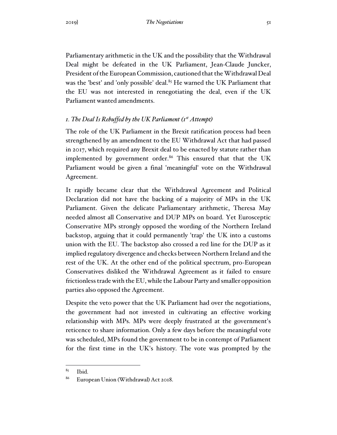Parliamentary arithmetic in the UK and the possibility that the Withdrawal Deal might be defeated in the UK Parliament, Jean-Claude Juncker, President of the European Commission, cautioned that the Withdrawal Deal was the 'best' and 'only possible' deal.<sup>85</sup> He warned the UK Parliament that the EU was not interested in renegotiating the deal, even if the UK Parliament wanted amendments.

## *1. The Deal Is Rebuffed by the UK Parliament (1st Attempt)*

The role of the UK Parliament in the Brexit ratification process had been strengthened by an amendment to the EU Withdrawal Act that had passed in 2017, which required any Brexit deal to be enacted by statute rather than implemented by government order.<sup>86</sup> This ensured that that the UK Parliament would be given a final 'meaningful' vote on the Withdrawal Agreement.

It rapidly became clear that the Withdrawal Agreement and Political Declaration did not have the backing of a majority of MPs in the UK Parliament. Given the delicate Parliamentary arithmetic, Theresa May needed almost all Conservative and DUP MPs on board. Yet Eurosceptic Conservative MPs strongly opposed the wording of the Northern Ireland backstop, arguing that it could permanently 'trap' the UK into a customs union with the EU. The backstop also crossed a red line for the DUP as it implied regulatory divergence and checks between Northern Ireland and the rest of the UK. At the other end of the political spectrum, pro-European Conservatives disliked the Withdrawal Agreement as it failed to ensure frictionless trade with the EU, while the Labour Party and smaller opposition parties also opposed the Agreement.

Despite the veto power that the UK Parliament had over the negotiations, the government had not invested in cultivating an effective working relationship with MPs. MPs were deeply frustrated at the government's reticence to share information. Only a few days before the meaningful vote was scheduled, MPs found the government to be in contempt of Parliament for the first time in the UK's history. The vote was prompted by the

 $85$  Ibid.

<sup>86</sup> European Union (Withdrawal) Act 2018.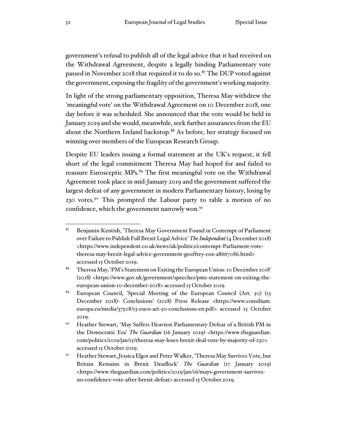government's refusal to publish all of the legal advice that it had received on the Withdrawal Agreement, despite a legally binding Parliamentary vote passed in November 2018 that required it to do so. $87$  The DUP voted against the government, exposing the fragility of the government's working majority.

In light of the strong parliamentary opposition, Theresa May withdrew the 'meaningful vote' on the Withdrawal Agreement on 10 December 2018, one day before it was scheduled. She announced that the vote would be held in January 2019 and she would, meanwhile, seek further assurances from the EU about the Northern Ireland backstop.<sup>88</sup> As before, her strategy focused on winning over members of the European Research Group.

Despite EU leaders issuing a formal statement at the UK's request, it fell short of the legal commitment Theresa May had hoped for and failed to reassure Eurosceptic MPs.<sup>89</sup> The first meaningful vote on the Withdrawal Agreement took place in mid-January 2019 and the government suffered the largest defeat of any government in modern Parliamentary history, losing by 230 votes.<sup>90</sup> This prompted the Labour party to table a motion of no confidence, which the government narrowly won.<sup>91</sup>

 $87$  Benjamin Kentish, 'Theresa May Government Found in Contempt of Parliament over Failure to Publish Full Brexit Legal Advice'*The Independent* (4 December 2018) <https://www.independent.co.uk/news/uk/politics/contempt-Parliament-votetheresa-may-brexit-legal-advice-government-geoffrey-cox-a8667086.html> accessed 15 October 2019.

<sup>88</sup> Theresa May, 'PM's Statement on Exiting the European Union: 10 December 2018' (2018) <https://www.gov.uk/government/speeches/pms-statement-on-exiting-theeuropean-union-10-december-2018> accessed 15 October 2019.

<sup>89</sup> European Council, 'Special Meeting of the European Council (Art. 50) (13 December 2018)- Conclusions' (2018) Press Release <https://www.consilium. europa.eu/media/37508/13-euco-art-50-conclusions-en.pdf> accessed 15 October 2019.

<sup>&</sup>lt;sup>90</sup> Heather Stewart, 'May Suffers Heaviest Parliamentary Defeat of a British PM in the Democratic Era' *The Guardian* (16 January 2019) <https://www.theguardian. com/politics/2019/jan/15/theresa-may-loses-brexit-deal-vote-by-majority-of-230> accessed 15 October 2019.

<sup>91</sup> Heather Stewart, Jessica Elgot and Peter Walker, 'Theresa May Survives Vote, but Britain Remains in Brexit Deadlock' *The Guardian* (17 January 2019) <https://www.theguardian.com/politics/2019/jan/16/mays-government-survivesno-confidence-vote-after-brexit-defeat> accessed 15 October 2019.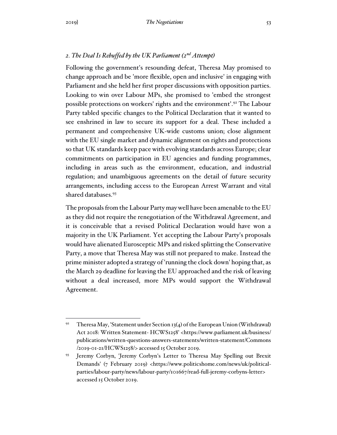## *2. The Deal Is Rebuffed by the UK Parliament (2nd Attempt)*

Following the government's resounding defeat, Theresa May promised to change approach and be 'more flexible, open and inclusive' in engaging with Parliament and she held her first proper discussions with opposition parties. Looking to win over Labour MPs, she promised to 'embed the strongest possible protections on workers' rights and the environment'.<sup>92</sup> The Labour Party tabled specific changes to the Political Declaration that it wanted to see enshrined in law to secure its support for a deal. These included a permanent and comprehensive UK-wide customs union; close alignment with the EU single market and dynamic alignment on rights and protections so that UK standards keep pace with evolving standards across Europe; clear commitments on participation in EU agencies and funding programmes, including in areas such as the environment, education, and industrial regulation; and unambiguous agreements on the detail of future security arrangements, including access to the European Arrest Warrant and vital shared databases.<sup>93</sup>

The proposals from the Labour Party may well have been amenable to the EU as they did not require the renegotiation of the Withdrawal Agreement, and it is conceivable that a revised Political Declaration would have won a majority in the UK Parliament. Yet accepting the Labour Party's proposals would have alienated Eurosceptic MPs and risked splitting the Conservative Party, a move that Theresa May was still not prepared to make. Instead the prime minister adopted a strategy of 'running the clock down' hoping that, as the March 29 deadline for leaving the EU approached and the risk of leaving without a deal increased, more MPs would support the Withdrawal Agreement.

<sup>&</sup>lt;sup>92</sup> Theresa May, 'Statement under Section 13(4) of the European Union (Withdrawal) Act 2018: Written Statement- HCWS1258' <https://www.parliament.uk/business/ publications/written-questions-answers-statements/written-statement/Commons /2019-01-21/HCWS1258/> accessed 15 October 2019.

<sup>93</sup> Jeremy Corbyn, 'Jeremy Corbyn's Letter to Theresa May Spelling out Brexit Demands' (7 February 2019) <https://www.politicshome.com/news/uk/politicalparties/labour-party/news/labour-party/101667/read-full-jeremy-corbyns-letter> accessed 15 October 2019.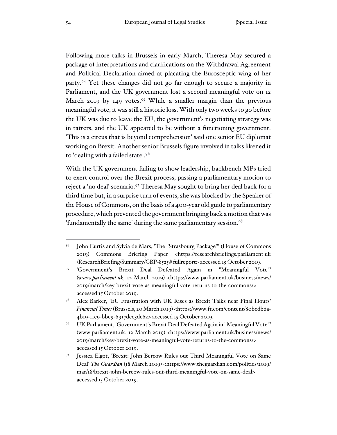Following more talks in Brussels in early March, Theresa May secured a package of interpretations and clarifications on the Withdrawal Agreement and Political Declaration aimed at placating the Eurosceptic wing of her party.<sup>94</sup> Yet these changes did not go far enough to secure a majority in Parliament, and the UK government lost a second meaningful vote on 12 March 2019 by 149 votes.<sup>95</sup> While a smaller margin than the previous meaningful vote, it was still a historic loss. With only two weeks to go before the UK was due to leave the EU, the government's negotiating strategy was in tatters, and the UK appeared to be without a functioning government. 'This is a circus that is beyond comprehension' said one senior EU diplomat working on Brexit. Another senior Brussels figure involved in talks likened it to 'dealing with a failed state'.<sup>96</sup>

With the UK government failing to show leadership, backbench MPs tried to exert control over the Brexit process, passing a parliamentary motion to reject a 'no deal' scenario.<sup>97</sup> Theresa May sought to bring her deal back for a third time but, in a surprise turn of events, she was blocked by the Speaker of the House of Commons, on the basis of a 400-year old guide to parliamentary procedure, which prevented the government bringing back a motion that was 'fundamentally the same' during the same parliamentary session.<sup>98</sup>

<sup>94</sup> John Curtis and Sylvia de Mars, 'The "Strasbourg Package"' (House of Commons 2019) Commons Briefing Paper <https://researchbriefings.parliament.uk /ResearchBriefing/Summary/CBP-8525#fullreport> accessed 15 October 2019.

<sup>95</sup> 'Government's Brexit Deal Defeated Again in "Meaningful Vote"' (*www.parliament.uk*, 12 March 2019) <https://www.parliament.uk/business/news/ 2019/march/key-brexit-vote-as-meaningful-vote-returns-to-the-commons/> accessed 15 October 2019.

<sup>96</sup> Alex Barker, 'EU Frustration with UK Rises as Brexit Talks near Final Hours' *Financial Times* (Brussels, 20 March 2019) <https://www.ft.com/content/80bcdb6a-4b19-11e9-bbc9-6917dce3dc62> accessed 15 October 2019.

<sup>97</sup> UK Parliament, 'Government's Brexit Deal Defeated Again in "Meaningful Vote"' (www.parliament.uk, 12 March 2019) <https://www.parliament.uk/business/news/ 2019/march/key-brexit-vote-as-meaningful-vote-returns-to-the-commons/> accessed 15 October 2019.

Jessica Elgot, 'Brexit: John Bercow Rules out Third Meaningful Vote on Same Deal' *The Guardian* (18 March 2019) <https://www.theguardian.com/politics/2019/ mar/18/brexit-john-bercow-rules-out-third-meaningful-vote-on-same-deal> accessed 15 October 2019.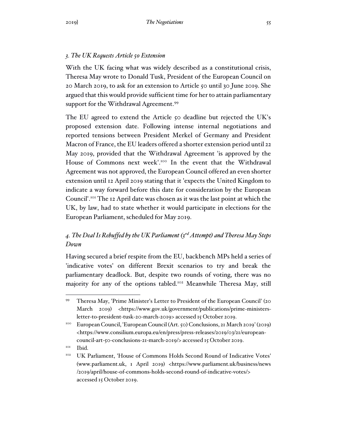# *3. The UK Requests Article 50 Extension*

With the UK facing what was widely described as a constitutional crisis, Theresa May wrote to Donald Tusk, President of the European Council on 20 March 2019, to ask for an extension to Article 50 until 30 June 2019. She argued that this would provide sufficient time for her to attain parliamentary support for the Withdrawal Agreement.<sup>99</sup>

The EU agreed to extend the Article 50 deadline but rejected the UK's proposed extension date. Following intense internal negotiations and reported tensions between President Merkel of Germany and President Macron of France, the EU leaders offered a shorter extension period until 22 May 2019, provided that the Withdrawal Agreement 'is approved by the House of Commons next week'.<sup>100</sup> In the event that the Withdrawal Agreement was not approved, the European Council offered an even shorter extension until 12 April 2019 stating that it 'expects the United Kingdom to indicate a way forward before this date for consideration by the European Council'.<sup>101</sup> The 12 April date was chosen as it was the last point at which the UK, by law, had to state whether it would participate in elections for the European Parliament, scheduled for May 2019.

# *4. The Deal Is Rebuffed by the UK Parliament (3rd Attempt) and Theresa May Steps Down*

Having secured a brief respite from the EU, backbench MPs held a series of 'indicative votes' on different Brexit scenarios to try and break the parliamentary deadlock. But, despite two rounds of voting, there was no majority for any of the options tabled.<sup>102</sup> Meanwhile Theresa May, still

<sup>99</sup> Theresa May, 'Prime Minister's Letter to President of the European Council' (20 March 2019) <https://www.gov.uk/government/publications/prime-ministersletter-to-president-tusk-20-march-2019> accessed 15 October 2019.

<sup>100</sup> European Council, 'European Council (Art. 50) Conclusions, 21 March 2019' (2019) <https://www.consilium.europa.eu/en/press/press-releases/2019/03/21/europeancouncil-art-50-conclusions-21-march-2019/> accessed 15 October 2019.

<sup>&</sup>lt;sup>101</sup> Ibid.

<sup>&</sup>lt;sup>102</sup> UK Parliament, 'House of Commons Holds Second Round of Indicative Votes' (www.parliament.uk, 1 April 2019) <https://www.parliament.uk/business/news /2019/april/house-of-commons-holds-second-round-of-indicative-votes/> accessed 15 October 2019.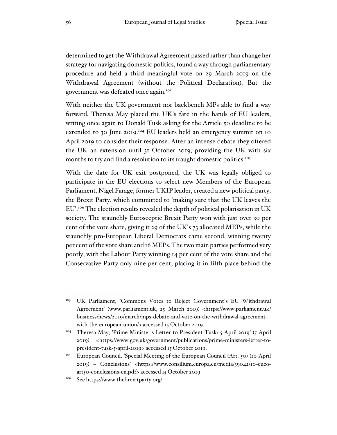determined to get the Withdrawal Agreement passed rather than change her strategy for navigating domestic politics, found a way through parliamentary procedure and held a third meaningful vote on 29 March 2019 on the Withdrawal Agreement (without the Political Declaration). But the government was defeated once again.<sup>103</sup>

With neither the UK government nor backbench MPs able to find a way forward, Theresa May placed the UK's fate in the hands of EU leaders, writing once again to Donald Tusk asking for the Article 50 deadline to be extended to 30 June 2019.<sup>104</sup> EU leaders held an emergency summit on 10 April 2019 to consider their response. After an intense debate they offered the UK an extension until 31 October 2019, providing the UK with six months to try and find a resolution to its fraught domestic politics.<sup>105</sup>

With the date for UK exit postponed, the UK was legally obliged to participate in the EU elections to select new Members of the European Parliament. Nigel Farage, former UKIP leader, created a new political party, the Brexit Party, which committed to 'making sure that the UK leaves the EU'.<sup>106</sup> The election results revealed the depth of political polarisation in UK society. The staunchly Eurosceptic Brexit Party won with just over 30 per cent of the vote share, giving it 29 of the UK's 73 allocated MEPs, while the staunchly pro-European Liberal Democrats came second, winning twenty per cent of the vote share and 16 MEPs. The two main parties performed very poorly, with the Labour Party winning 14 per cent of the vote share and the Conservative Party only nine per cent, placing it in fifth place behind the

<sup>103</sup> UK Parliament, 'Commons Votes to Reject Government's EU Withdrawal Agreement' (www.parliament.uk, 29 March 2019) <https://www.parliament.uk/ business/news/2019/march/mps-debate-and-vote-on-the-withdrawal-agreementwith-the-european-union/> accessed 15 October 2019.

<sup>104</sup> Theresa May, 'Prime Minister's Letter to President Tusk: 5 April 2019' (5 April 2019) <https://www.gov.uk/government/publications/prime-ministers-letter-topresident-tusk-5-april-2019> accessed 15 October 2019.

<sup>105</sup> European Council, 'Special Meeting of the European Council (Art. 50) (10 April 2019) – Conclusions' <https://www.consilium.europa.eu/media/39042/10-eucoart50-conclusions-en.pdf> accessed 15 October 2019.

<sup>106</sup> See https://www.thebrexitparty.org/.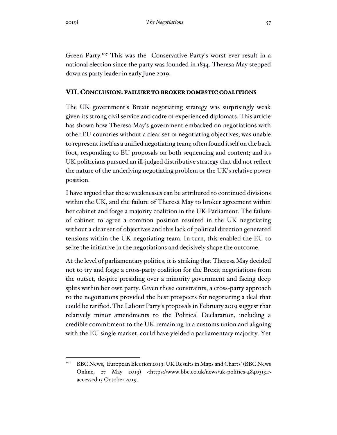Green Party.<sup>107</sup> This was the Conservative Party's worst ever result in a national election since the party was founded in 1834. Theresa May stepped down as party leader in early June 2019.

## **VII. CONCLUSION: FAILURE TO BROKER DOMESTIC COALITIONS**

The UK government's Brexit negotiating strategy was surprisingly weak given its strong civil service and cadre of experienced diplomats. This article has shown how Theresa May's government embarked on negotiations with other EU countries without a clear set of negotiating objectives; was unable to represent itself as a unified negotiating team; often found itself on the back foot, responding to EU proposals on both sequencing and content; and its UK politicians pursued an ill-judged distributive strategy that did not reflect the nature of the underlying negotiating problem or the UK's relative power position.

I have argued that these weaknesses can be attributed to continued divisions within the UK, and the failure of Theresa May to broker agreement within her cabinet and forge a majority coalition in the UK Parliament. The failure of cabinet to agree a common position resulted in the UK negotiating without a clear set of objectives and this lack of political direction generated tensions within the UK negotiating team. In turn, this enabled the EU to seize the initiative in the negotiations and decisively shape the outcome.

At the level of parliamentary politics, it is striking that Theresa May decided not to try and forge a cross-party coalition for the Brexit negotiations from the outset, despite presiding over a minority government and facing deep splits within her own party. Given these constraints, a cross-party approach to the negotiations provided the best prospects for negotiating a deal that could be ratified. The Labour Party's proposals in February 2019 suggest that relatively minor amendments to the Political Declaration, including a credible commitment to the UK remaining in a customs union and aligning with the EU single market, could have yielded a parliamentary majority. Yet

<sup>107</sup> BBC News, 'European Election 2019: UK Results in Maps and Charts' (BBC News Online, 27 May 2019) <https://www.bbc.co.uk/news/uk-politics-48403131> accessed 15 October 2019.